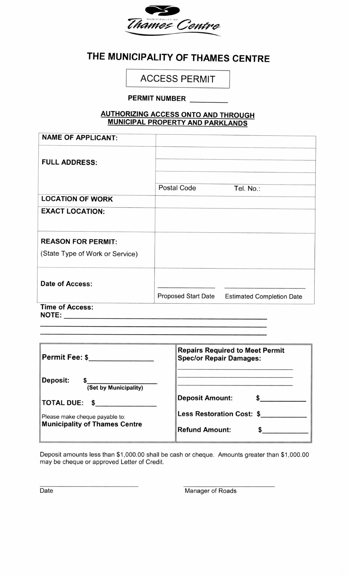

## THE MUNICIPALITY OF THAMES CENTRE

## ACCESS PERMIT

## PERMIT NUMBER

## AUTHORIZING ACCESS ONTO AND THROUGH MUNICIPAL PROPERTY AND PARKLANDS

| <b>NAME OF APPLICANT:</b>       |                     |                                  |
|---------------------------------|---------------------|----------------------------------|
|                                 |                     |                                  |
| <b>FULL ADDRESS:</b>            |                     |                                  |
|                                 |                     |                                  |
|                                 | Postal Code         | Tel. No.:                        |
| <b>LOCATION OF WORK</b>         |                     |                                  |
| <b>EXACT LOCATION:</b>          |                     |                                  |
|                                 |                     |                                  |
| <b>REASON FOR PERMIT:</b>       |                     |                                  |
| (State Type of Work or Service) |                     |                                  |
|                                 |                     |                                  |
|                                 |                     |                                  |
| <b>Date of Access:</b>          |                     |                                  |
|                                 | Proposed Start Date | <b>Estimated Completion Date</b> |
| <b>Time of Access:</b>          |                     |                                  |

NOTE:

| Permit Fee: \$_________                                                                                                                                  | <b>Repairs Required to Meet Permit</b><br><b>Spec/or Repair Damages:</b> |
|----------------------------------------------------------------------------------------------------------------------------------------------------------|--------------------------------------------------------------------------|
| Deposit:<br>(Set by Municipality)                                                                                                                        |                                                                          |
| $\textsf{TOTAL DUE: } \texttt{\$} \_\textcolor{red}{\textbf{5} \_\textcolor{red}{\textbf{5} \_\textcolor{red}{\textbf{0} \_\textcolor{red}{\textbf{0}}}$ | <b>Deposit Amount:</b>                                                   |
| Please make cheque payable to:<br><b>Municipality of Thames Centre</b>                                                                                   | Less Restoration Cost: \$                                                |
|                                                                                                                                                          | <b>Refund Amount:</b>                                                    |

Deposit amounts less than \$1,000.00 shall be cash or cheque. Amounts greater than \$1,000.00 may be cheque or approved Letter of Credit.

Date Manager of Roads